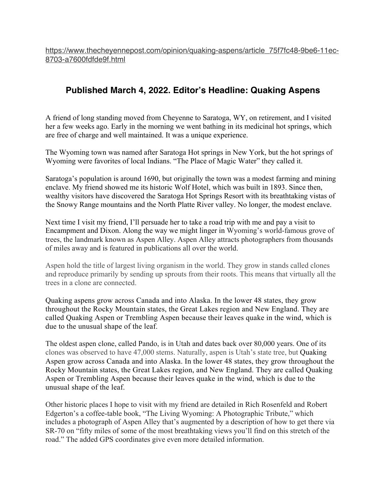## **Published March 4, 2022. Editor's Headline: Quaking Aspens**

A friend of long standing moved from Cheyenne to Saratoga, WY, on retirement, and I visited her a few weeks ago. Early in the morning we went bathing in its medicinal hot springs, which are free of charge and well maintained. It was a unique experience.

The Wyoming town was named after Saratoga Hot springs in New York, but the hot springs of Wyoming were favorites of local Indians. "The Place of Magic Water" they called it.

Saratoga's population is around 1690, but originally the town was a modest farming and mining enclave. My friend showed me its historic Wolf Hotel, which was built in 1893. Since then, wealthy visitors have discovered the Saratoga Hot Springs Resort with its breathtaking vistas of the Snowy Range mountains and the North Platte River valley. No longer, the modest enclave.

Next time I visit my friend, I'll persuade her to take a road trip with me and pay a visit to Encampment and Dixon. Along the way we might linger in Wyoming's world-famous grove of trees, the landmark known as Aspen Alley. Aspen Alley attracts photographers from thousands of miles away and is featured in publications all over the world.

Aspen hold the title of largest living organism in the world. They grow in stands called clones and reproduce primarily by sending up sprouts from their roots. This means that virtually all the trees in a clone are connected.

Quaking aspens grow across Canada and into Alaska. In the lower 48 states, they grow throughout the Rocky Mountain states, the Great Lakes region and New England. They are called Quaking Aspen or Trembling Aspen because their leaves quake in the wind, which is due to the unusual shape of the leaf.

The oldest aspen clone, called Pando, is in Utah and dates back over 80,000 years. One of its clones was observed to have 47,000 stems. Naturally, aspen is Utah's state tree, but Quaking Aspen grow across Canada and into Alaska. In the lower 48 states, they grow throughout the Rocky Mountain states, the Great Lakes region, and New England. They are called Quaking Aspen or Trembling Aspen because their leaves quake in the wind, which is due to the unusual shape of the leaf.

Other historic places I hope to visit with my friend are detailed in Rich Rosenfeld and Robert Edgerton's a coffee-table book, "The Living Wyoming: A Photographic Tribute," which includes a photograph of Aspen Alley that's augmented by a description of how to get there via SR-70 on "fifty miles of some of the most breathtaking views you'll find on this stretch of the road." The added GPS coordinates give even more detailed information.